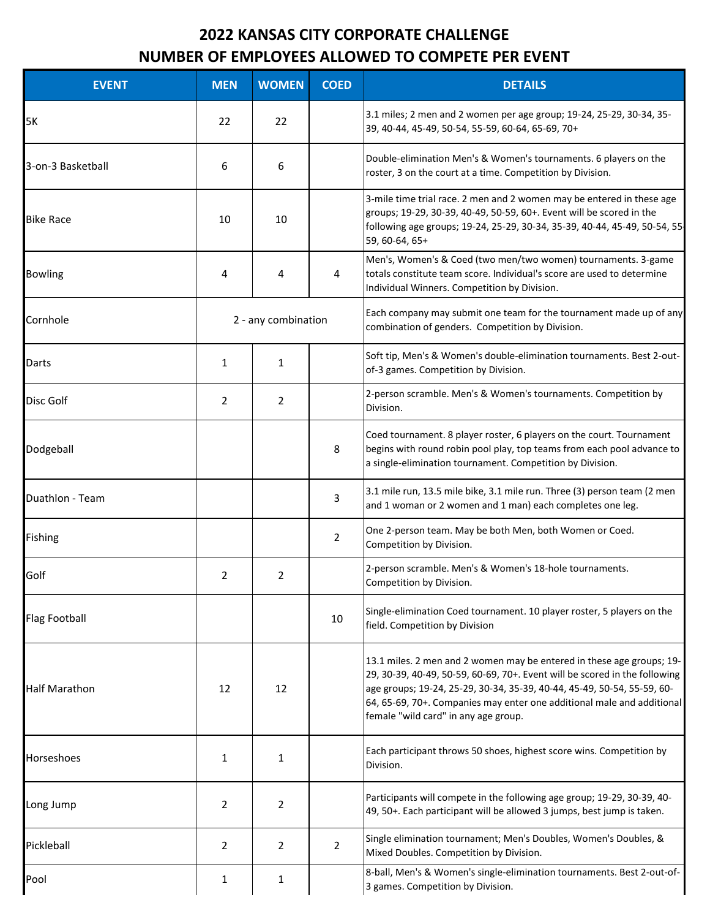## **2022 KANSAS CITY CORPORATE CHALLENGE NUMBER OF EMPLOYEES ALLOWED TO COMPETE PER EVENT**

| <b>EVENT</b>         | <b>MEN</b>     | <b>WOMEN</b>        | <b>COED</b>    | <b>DETAILS</b>                                                                                                                                                                                                                                                                                                                                   |
|----------------------|----------------|---------------------|----------------|--------------------------------------------------------------------------------------------------------------------------------------------------------------------------------------------------------------------------------------------------------------------------------------------------------------------------------------------------|
| 5K                   | 22             | 22                  |                | 3.1 miles; 2 men and 2 women per age group; 19-24, 25-29, 30-34, 35-<br>39, 40-44, 45-49, 50-54, 55-59, 60-64, 65-69, 70+                                                                                                                                                                                                                        |
| 3-on-3 Basketball    | 6              | 6                   |                | Double-elimination Men's & Women's tournaments. 6 players on the<br>roster, 3 on the court at a time. Competition by Division.                                                                                                                                                                                                                   |
| <b>Bike Race</b>     | 10             | 10                  |                | 3-mile time trial race. 2 men and 2 women may be entered in these age<br>groups; 19-29, 30-39, 40-49, 50-59, 60+. Event will be scored in the<br>following age groups; 19-24, 25-29, 30-34, 35-39, 40-44, 45-49, 50-54, 55<br>59, 60-64, 65+                                                                                                     |
| <b>Bowling</b>       | 4              | 4                   | 4              | Men's, Women's & Coed (two men/two women) tournaments. 3-game<br>totals constitute team score. Individual's score are used to determine<br>Individual Winners. Competition by Division.                                                                                                                                                          |
| Cornhole             |                | 2 - any combination |                | Each company may submit one team for the tournament made up of any<br>combination of genders. Competition by Division.                                                                                                                                                                                                                           |
| Darts                | 1              | $\mathbf{1}$        |                | Soft tip, Men's & Women's double-elimination tournaments. Best 2-out-<br>of-3 games. Competition by Division.                                                                                                                                                                                                                                    |
| Disc Golf            | $\overline{2}$ | $\overline{2}$      |                | 2-person scramble. Men's & Women's tournaments. Competition by<br>Division.                                                                                                                                                                                                                                                                      |
| Dodgeball            |                |                     | 8              | Coed tournament. 8 player roster, 6 players on the court. Tournament<br>begins with round robin pool play, top teams from each pool advance to<br>a single-elimination tournament. Competition by Division.                                                                                                                                      |
| Duathlon - Team      |                |                     | 3              | 3.1 mile run, 13.5 mile bike, 3.1 mile run. Three (3) person team (2 men<br>and 1 woman or 2 women and 1 man) each completes one leg.                                                                                                                                                                                                            |
| Fishing              |                |                     | $\overline{2}$ | One 2-person team. May be both Men, both Women or Coed.<br>Competition by Division.                                                                                                                                                                                                                                                              |
| Golf                 | $\overline{2}$ | 2                   |                | 2-person scramble. Men's & Women's 18-hole tournaments.<br>Competition by Division.                                                                                                                                                                                                                                                              |
| <b>Flag Football</b> |                |                     | 10             | Single-elimination Coed tournament. 10 player roster, 5 players on the<br>field. Competition by Division                                                                                                                                                                                                                                         |
| <b>Half Marathon</b> | 12             | 12                  |                | 13.1 miles. 2 men and 2 women may be entered in these age groups; 19-<br>29, 30-39, 40-49, 50-59, 60-69, 70+. Event will be scored in the following<br>age groups; 19-24, 25-29, 30-34, 35-39, 40-44, 45-49, 50-54, 55-59, 60-<br>64, 65-69, 70+. Companies may enter one additional male and additional<br>female "wild card" in any age group. |
| Horseshoes           | 1              | $\mathbf{1}$        |                | Each participant throws 50 shoes, highest score wins. Competition by<br>Division.                                                                                                                                                                                                                                                                |
| Long Jump            | 2              | $\overline{2}$      |                | Participants will compete in the following age group; 19-29, 30-39, 40-<br>49, 50+. Each participant will be allowed 3 jumps, best jump is taken.                                                                                                                                                                                                |
| Pickleball           | $\overline{2}$ | $\overline{2}$      | $\overline{2}$ | Single elimination tournament; Men's Doubles, Women's Doubles, &<br>Mixed Doubles. Competition by Division.                                                                                                                                                                                                                                      |
| Pool                 | 1              | $\mathbf{1}$        |                | 8-ball, Men's & Women's single-elimination tournaments. Best 2-out-of-<br>3 games. Competition by Division.                                                                                                                                                                                                                                      |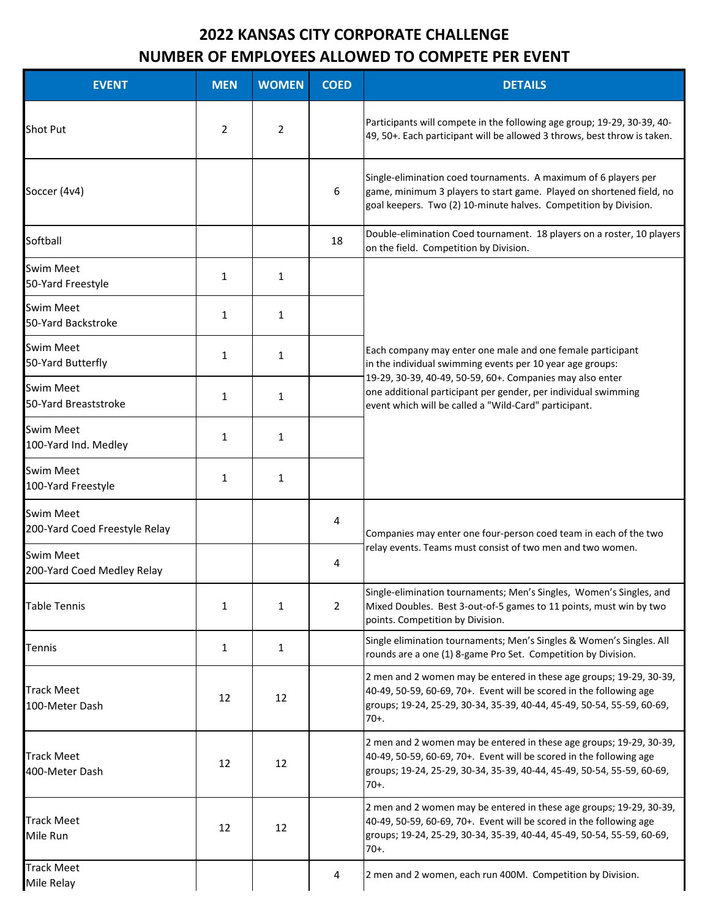## **2022 KANSAS CITY CORPORATE CHALLENGE NUMBER OF EMPLOYEES ALLOWED TO COMPETE PER EVENT**

| <b>EVENT</b>                                      | <b>MEN</b>   | <b>WOMEN</b> | <b>COED</b>    | <b>DETAILS</b>                                                                                                                                                                                                                  |
|---------------------------------------------------|--------------|--------------|----------------|---------------------------------------------------------------------------------------------------------------------------------------------------------------------------------------------------------------------------------|
| <b>Shot Put</b>                                   | 2            | 2            |                | Participants will compete in the following age group; 19-29, 30-39, 40-<br>49, 50+. Each participant will be allowed 3 throws, best throw is taken.                                                                             |
| Soccer (4v4)                                      |              |              | 6              | Single-elimination coed tournaments. A maximum of 6 players per<br>game, minimum 3 players to start game. Played on shortened field, no<br>goal keepers. Two (2) 10-minute halves. Competition by Division.                     |
| Softball                                          |              |              | 18             | Double-elimination Coed tournament. 18 players on a roster, 10 players<br>on the field. Competition by Division.                                                                                                                |
| <b>Swim Meet</b><br>50-Yard Freestyle             | $\mathbf{1}$ | $\mathbf{1}$ |                |                                                                                                                                                                                                                                 |
| Swim Meet<br>50-Yard Backstroke                   | $\mathbf{1}$ | 1            |                |                                                                                                                                                                                                                                 |
| Swim Meet<br>50-Yard Butterfly                    | $\mathbf{1}$ | 1            |                | Each company may enter one male and one female participant<br>in the individual swimming events per 10 year age groups:                                                                                                         |
| <b>Swim Meet</b><br>50-Yard Breaststroke          | 1            | 1            |                | 19-29, 30-39, 40-49, 50-59, 60+. Companies may also enter<br>one additional participant per gender, per individual swimming<br>event which will be called a "Wild-Card" participant.                                            |
| <b>Swim Meet</b><br>100-Yard Ind. Medley          | $\mathbf{1}$ | 1            |                |                                                                                                                                                                                                                                 |
| <b>Swim Meet</b><br>100-Yard Freestyle            | $\mathbf{1}$ | 1            |                |                                                                                                                                                                                                                                 |
| <b>Swim Meet</b><br>200-Yard Coed Freestyle Relay |              |              | 4              | Companies may enter one four-person coed team in each of the two<br>relay events. Teams must consist of two men and two women.                                                                                                  |
| <b>Swim Meet</b><br>200-Yard Coed Medley Relay    |              |              | 4              |                                                                                                                                                                                                                                 |
| <b>Table Tennis</b>                               | $\mathbf{1}$ | 1            | $\overline{2}$ | Single-elimination tournaments; Men's Singles, Women's Singles, and<br>Mixed Doubles. Best 3-out-of-5 games to 11 points, must win by two<br>points. Competition by Division.                                                   |
| Tennis                                            | $\mathbf{1}$ | 1            |                | Single elimination tournaments; Men's Singles & Women's Singles. All<br>rounds are a one (1) 8-game Pro Set. Competition by Division.                                                                                           |
| <b>Track Meet</b><br>100-Meter Dash               | 12           | 12           |                | 2 men and 2 women may be entered in these age groups; 19-29, 30-39,<br>40-49, 50-59, 60-69, 70+. Event will be scored in the following age<br>groups; 19-24, 25-29, 30-34, 35-39, 40-44, 45-49, 50-54, 55-59, 60-69,<br>$70+$ . |
| <b>Track Meet</b><br>400-Meter Dash               | 12           | 12           |                | 2 men and 2 women may be entered in these age groups; 19-29, 30-39,<br>40-49, 50-59, 60-69, 70+. Event will be scored in the following age<br>groups; 19-24, 25-29, 30-34, 35-39, 40-44, 45-49, 50-54, 55-59, 60-69,<br>$70+.$  |
| <b>Track Meet</b><br>Mile Run                     | 12           | 12           |                | 2 men and 2 women may be entered in these age groups; 19-29, 30-39,<br>40-49, 50-59, 60-69, 70+. Event will be scored in the following age<br>groups; 19-24, 25-29, 30-34, 35-39, 40-44, 45-49, 50-54, 55-59, 60-69,<br>$70+.$  |
| <b>Track Meet</b><br>Mile Relay                   |              |              | 4              | 2 men and 2 women, each run 400M. Competition by Division.                                                                                                                                                                      |